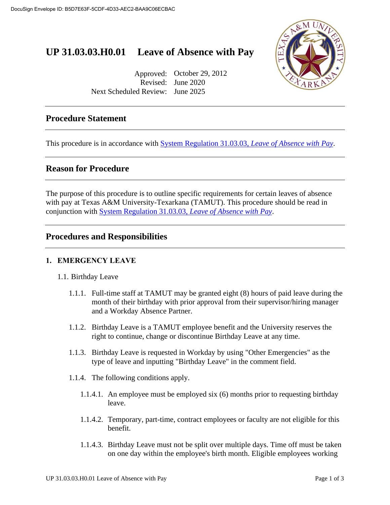# **UP 31.03.03.H0.01 Leave of Absence with Pay**





# **Procedure Statement**

This procedure is in accordance with [System Regulation 31.03.03,](http://policies.tamus.edu/31-03-03.pdf) *Leave of Absence with Pay*.

# **Reason for Procedure**

The purpose of this procedure is to outline specific requirements for certain leaves of absence with pay at Texas A&M University-Texarkana (TAMUT). This procedure should be read in conjunction with [System Regulation 31.03.03,](http://policies.tamus.edu/31-03-03.pdf) *Leave of Absence with Pay*.

# **Procedures and Responsibilities**

#### **1. EMERGENCY LEAVE**

#### 1.1. Birthday Leave

- 1.1.1. Full-time staff at TAMUT may be granted eight (8) hours of paid leave during the month of their birthday with prior approval from their supervisor/hiring manager and a Workday Absence Partner.
- 1.1.2. Birthday Leave is a TAMUT employee benefit and the University reserves the right to continue, change or discontinue Birthday Leave at any time.
- 1.1.3. Birthday Leave is requested in Workday by using "Other Emergencies" as the type of leave and inputting "Birthday Leave" in the comment field.
- 1.1.4. The following conditions apply.
	- 1.1.4.1. An employee must be employed six (6) months prior to requesting birthday leave.
	- 1.1.4.2. Temporary, part-time, contract employees or faculty are not eligible for this benefit.
	- 1.1.4.3. Birthday Leave must not be split over multiple days. Time off must be taken on one day within the employee's birth month. Eligible employees working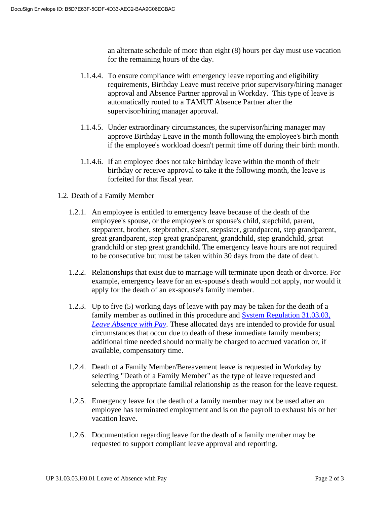an alternate schedule of more than eight (8) hours per day must use vacation for the remaining hours of the day.

- 1.1.4.4. To ensure compliance with emergency leave reporting and eligibility requirements, Birthday Leave must receive prior supervisory/hiring manager approval and Absence Partner approval in Workday. This type of leave is automatically routed to a TAMUT Absence Partner after the supervisor/hiring manager approval.
- 1.1.4.5. Under extraordinary circumstances, the supervisor/hiring manager may approve Birthday Leave in the month following the employee's birth month if the employee's workload doesn't permit time off during their birth month.
- 1.1.4.6. If an employee does not take birthday leave within the month of their birthday or receive approval to take it the following month, the leave is forfeited for that fiscal year.
- 1.2. Death of a Family Member
	- 1.2.1. An employee is entitled to emergency leave because of the death of the employee's spouse, or the employee's or spouse's child, stepchild, parent, stepparent, brother, stepbrother, sister, stepsister, grandparent, step grandparent, great grandparent, step great grandparent, grandchild, step grandchild, great grandchild or step great grandchild. The emergency leave hours are not required to be consecutive but must be taken within 30 days from the date of death.
	- 1.2.2. Relationships that exist due to marriage will terminate upon death or divorce. For example, emergency leave for an ex-spouse's death would not apply, nor would it apply for the death of an ex-spouse's family member.
	- 1.2.3. Up to five (5) working days of leave with pay may be taken for the death of a family member as outlined in this procedure and **System Regulation 31.03.03**, *[Leave Absence with Pay](http://policies.tamus.edu/31-03-03.pdf)*. These allocated days are intended to provide for usual circumstances that occur due to death of these immediate family members; additional time needed should normally be charged to accrued vacation or, if available, compensatory time.
	- 1.2.4. Death of a Family Member/Bereavement leave is requested in Workday by selecting "Death of a Family Member" as the type of leave requested and selecting the appropriate familial relationship as the reason for the leave request.
	- 1.2.5. Emergency leave for the death of a family member may not be used after an employee has terminated employment and is on the payroll to exhaust his or her vacation leave.
	- 1.2.6. Documentation regarding leave for the death of a family member may be requested to support compliant leave approval and reporting.